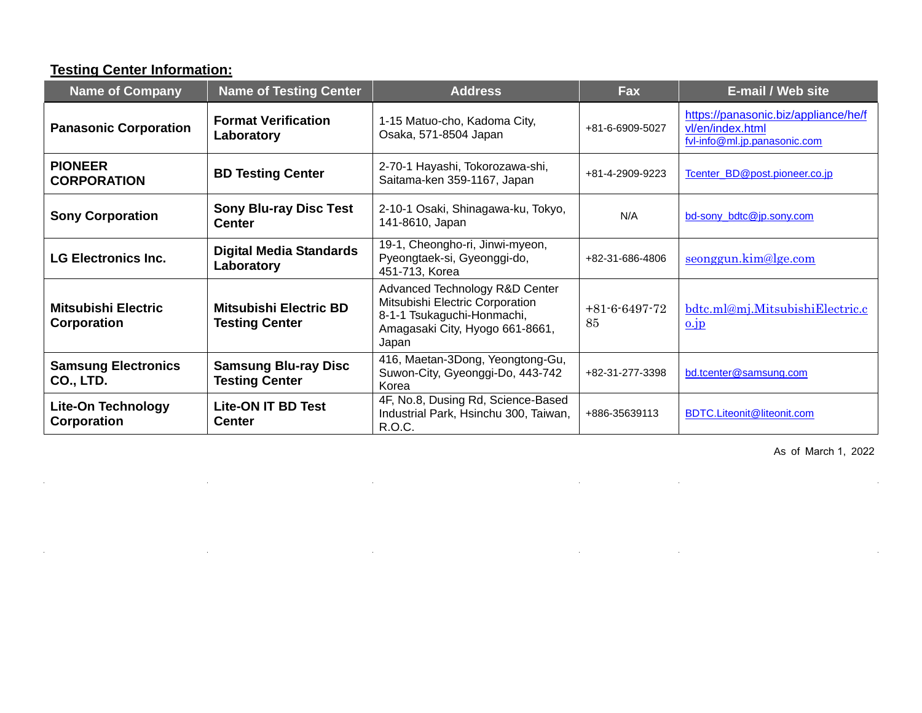### **Testing Center Information:**

 $\mathcal{L}$ 

 $\mathcal{L}_{\rm{max}}$ 

 $\sim$ 

 $\mathcal{L}^{\text{max}}_{\text{max}}$  , where  $\mathcal{L}^{\text{max}}_{\text{max}}$ 

| <b>Name of Company</b>                         | <b>Name of Testing Center</b>                          | <b>Address</b>                                                                                                                              | <b>Fax</b>                  | E-mail / Web site                                                                        |
|------------------------------------------------|--------------------------------------------------------|---------------------------------------------------------------------------------------------------------------------------------------------|-----------------------------|------------------------------------------------------------------------------------------|
| <b>Panasonic Corporation</b>                   | <b>Format Verification</b><br>Laboratory               | 1-15 Matuo-cho, Kadoma City,<br>Osaka, 571-8504 Japan                                                                                       | +81-6-6909-5027             | https://panasonic.biz/appliance/he/f<br>vl/en/index.html<br>fvl-info@ml.jp.panasonic.com |
| <b>PIONEER</b><br><b>CORPORATION</b>           | <b>BD Testing Center</b>                               | 2-70-1 Hayashi, Tokorozawa-shi,<br>Saitama-ken 359-1167, Japan                                                                              | +81-4-2909-9223             | Tcenter BD@post.pioneer.co.jp                                                            |
| <b>Sony Corporation</b>                        | <b>Sony Blu-ray Disc Test</b><br><b>Center</b>         | 2-10-1 Osaki, Shinagawa-ku, Tokyo,<br>141-8610, Japan                                                                                       | N/A                         | bd-sony_bdtc@jp.sony.com                                                                 |
| <b>LG Electronics Inc.</b>                     | <b>Digital Media Standards</b><br>Laboratory           | 19-1, Cheongho-ri, Jinwi-myeon,<br>Pyeongtaek-si, Gyeonggi-do,<br>451-713, Korea                                                            | +82-31-686-4806             | seonggun.kim@lge.com                                                                     |
| <b>Mitsubishi Electric</b><br>Corporation      | <b>Mitsubishi Electric BD</b><br><b>Testing Center</b> | Advanced Technology R&D Center<br>Mitsubishi Electric Corporation<br>8-1-1 Tsukaguchi-Honmachi,<br>Amagasaki City, Hyogo 661-8661,<br>Japan | $+81 - 6 - 6497 - 72$<br>85 | bdtc.ml@mj.MitsubishiElectric.c<br>0.1p                                                  |
| <b>Samsung Electronics</b><br><b>CO., LTD.</b> | <b>Samsung Blu-ray Disc</b><br><b>Testing Center</b>   | 416, Maetan-3Dong, Yeongtong-Gu,<br>Suwon-City, Gyeonggi-Do, 443-742<br>Korea                                                               | +82-31-277-3398             | bd.tcenter@samsung.com                                                                   |
| Lite-On Technology<br>Corporation              | <b>Lite-ON IT BD Test</b><br><b>Center</b>             | 4F, No.8, Dusing Rd, Science-Based<br>Industrial Park, Hsinchu 300, Taiwan,<br>R.O.C.                                                       | +886-35639113               | <b>BDTC.Liteonit@liteonit.com</b>                                                        |

 $\hat{\mathbf{r}}$ 

 $\mathcal{L}^{\text{max}}_{\text{max}}$  , where  $\mathcal{L}^{\text{max}}_{\text{max}}$ 

 $\mathcal{L}_{\mathbf{a}}$ 

 $\sim 10^{11}$  m  $^{-1}$ 

 $\mathcal{A}$ 

 $\sim$ 

[As of](mailto:bdtestcenter@blufocus.com) March 1, 2022

l.

 $\sim$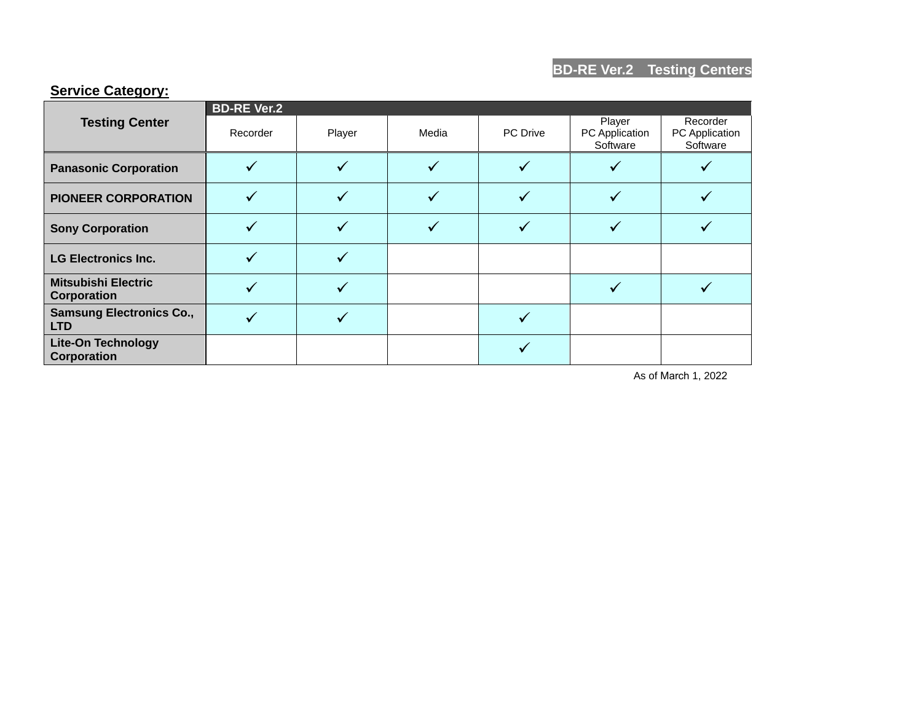#### **Service Category:**

|                                               | <b>BD-RE Ver.2</b> |        |       |                 |                                      |                                        |  |  |
|-----------------------------------------------|--------------------|--------|-------|-----------------|--------------------------------------|----------------------------------------|--|--|
| <b>Testing Center</b>                         | Recorder           | Player | Media | <b>PC</b> Drive | Player<br>PC Application<br>Software | Recorder<br>PC Application<br>Software |  |  |
| <b>Panasonic Corporation</b>                  |                    |        |       |                 |                                      |                                        |  |  |
| <b>PIONEER CORPORATION</b>                    |                    |        |       |                 |                                      |                                        |  |  |
| <b>Sony Corporation</b>                       |                    |        |       |                 |                                      |                                        |  |  |
| <b>LG Electronics Inc.</b>                    |                    |        |       |                 |                                      |                                        |  |  |
| <b>Mitsubishi Electric</b><br>Corporation     |                    |        |       |                 |                                      |                                        |  |  |
| <b>Samsung Electronics Co.,</b><br><b>LTD</b> |                    |        |       |                 |                                      |                                        |  |  |
| <b>Lite-On Technology</b><br>Corporation      |                    |        |       |                 |                                      |                                        |  |  |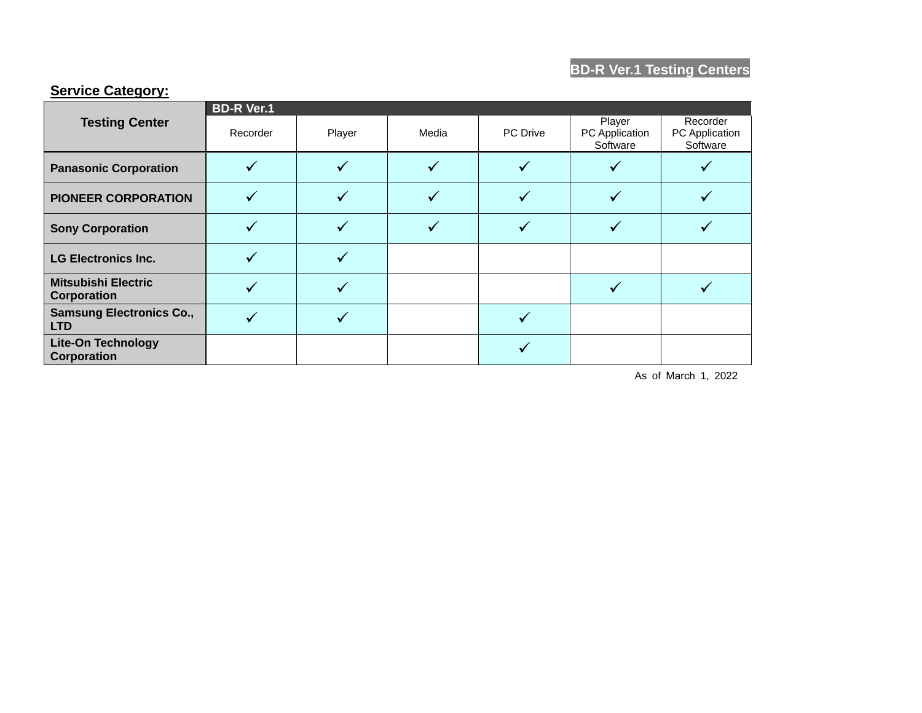# **BD-R Ver.1 Testing Centers**

### **Service Category:**

|                                                 | <b>BD-R Ver.1</b> |        |       |          |                                      |                                        |  |
|-------------------------------------------------|-------------------|--------|-------|----------|--------------------------------------|----------------------------------------|--|
| <b>Testing Center</b>                           | Recorder          | Player | Media | PC Drive | Player<br>PC Application<br>Software | Recorder<br>PC Application<br>Software |  |
| <b>Panasonic Corporation</b>                    |                   |        |       |          |                                      |                                        |  |
| <b>PIONEER CORPORATION</b>                      |                   |        |       |          |                                      |                                        |  |
| <b>Sony Corporation</b>                         |                   |        |       |          |                                      |                                        |  |
| <b>LG Electronics Inc.</b>                      |                   |        |       |          |                                      |                                        |  |
| <b>Mitsubishi Electric</b><br>Corporation       |                   |        |       |          |                                      |                                        |  |
| <b>Samsung Electronics Co.,</b><br><b>LTD</b>   |                   |        |       |          |                                      |                                        |  |
| <b>Lite-On Technology</b><br><b>Corporation</b> |                   |        |       |          |                                      |                                        |  |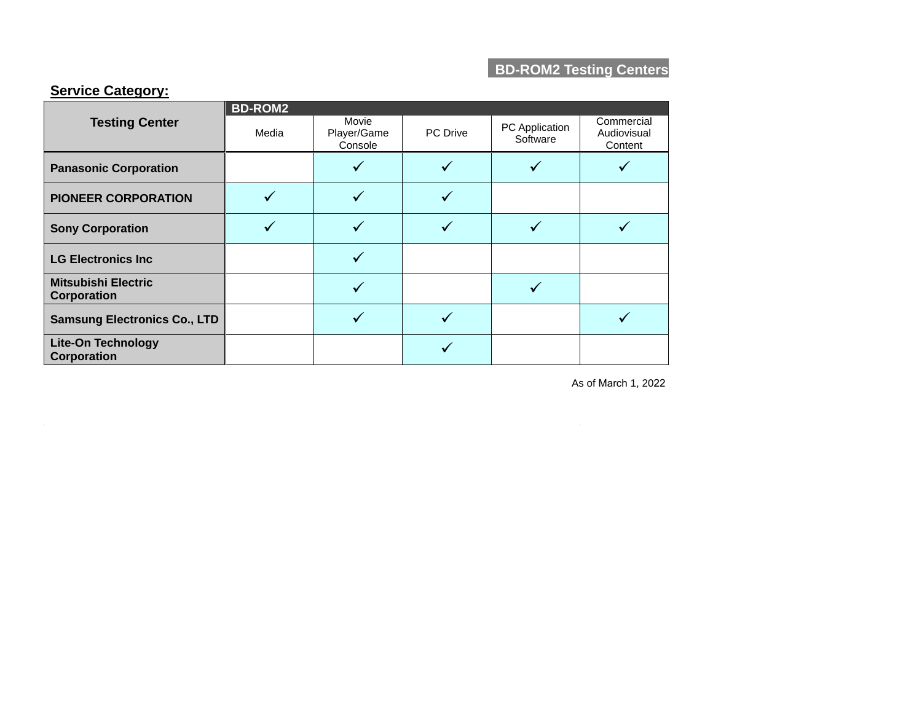# **BD-ROM2 Testing Centers**

#### **Service Category:**

 $\sim 10^{-1}$ 

|                                           | <b>BD-ROM2</b> |                                 |                 |                            |                                      |  |  |
|-------------------------------------------|----------------|---------------------------------|-----------------|----------------------------|--------------------------------------|--|--|
| <b>Testing Center</b>                     | Media          | Movie<br>Player/Game<br>Console | <b>PC</b> Drive | PC Application<br>Software | Commercial<br>Audiovisual<br>Content |  |  |
| <b>Panasonic Corporation</b>              |                |                                 |                 |                            |                                      |  |  |
| <b>PIONEER CORPORATION</b>                |                |                                 |                 |                            |                                      |  |  |
| <b>Sony Corporation</b>                   |                |                                 |                 |                            |                                      |  |  |
| <b>LG Electronics Inc</b>                 |                |                                 |                 |                            |                                      |  |  |
| <b>Mitsubishi Electric</b><br>Corporation |                |                                 |                 |                            |                                      |  |  |
| <b>Samsung Electronics Co., LTD</b>       |                |                                 |                 |                            |                                      |  |  |
| <b>Lite-On Technology</b><br>Corporation  |                |                                 |                 |                            |                                      |  |  |

As of March 1, 2022

 $\mathcal{L}^{\text{max}}_{\text{max}}$  and  $\mathcal{L}^{\text{max}}_{\text{max}}$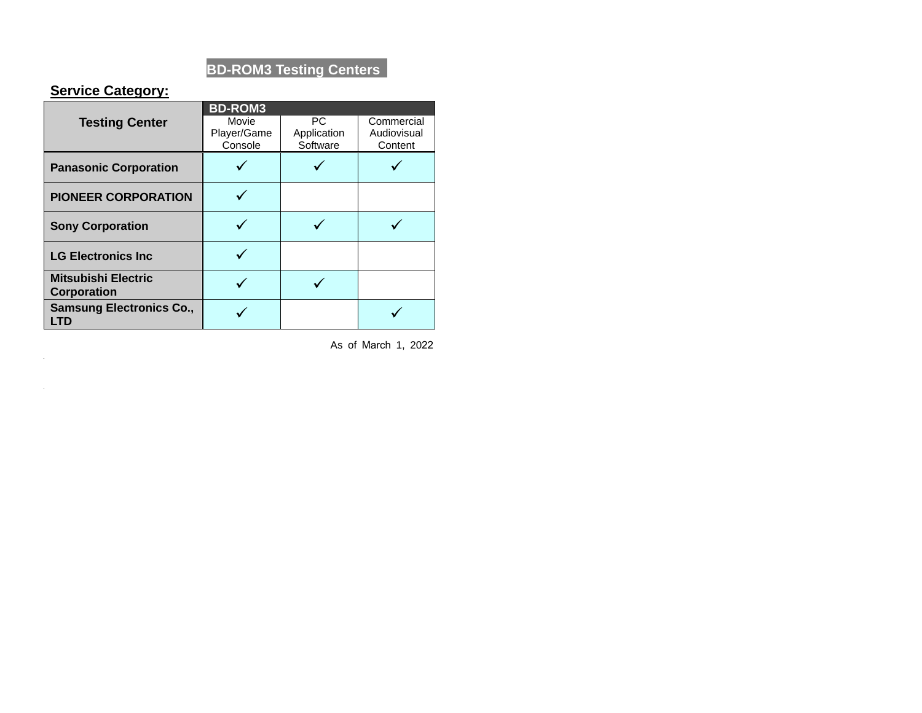# **BD-ROM3 Testing Centers**

#### **Service Category:**

 $\mathcal{A}^{\text{max}}_{\text{max}}$ 

 $\sim 10^{-1}$ 

|                                                  | <b>BD-ROM3</b> |             |             |
|--------------------------------------------------|----------------|-------------|-------------|
| <b>Testing Center</b>                            | Movie          | <b>PC</b>   | Commercial  |
|                                                  | Player/Game    | Application | Audiovisual |
|                                                  | Console        | Software    | Content     |
| <b>Panasonic Corporation</b>                     |                |             |             |
| <b>PIONEER CORPORATION</b>                       |                |             |             |
| <b>Sony Corporation</b>                          |                |             |             |
| <b>LG Electronics Inc.</b>                       |                |             |             |
| <b>Mitsubishi Electric</b><br><b>Corporation</b> |                |             |             |
| <b>Samsung Electronics Co.,</b><br>LTD           |                |             |             |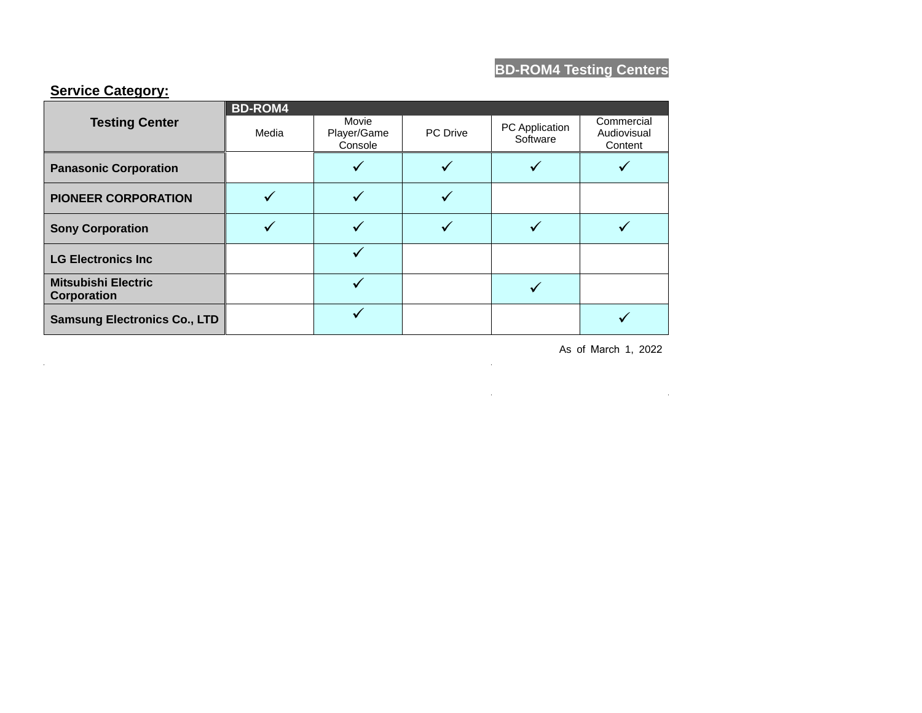# **BD-ROM4 Testing Centers**

#### **Service Category:**

 $\mathcal{L}_{\rm{max}}$ 

|                                           | <b>BD-ROM4</b> |                                 |                 |                            |                                      |  |  |
|-------------------------------------------|----------------|---------------------------------|-----------------|----------------------------|--------------------------------------|--|--|
| <b>Testing Center</b>                     | Media          | Movie<br>Player/Game<br>Console | <b>PC</b> Drive | PC Application<br>Software | Commercial<br>Audiovisual<br>Content |  |  |
| <b>Panasonic Corporation</b>              |                |                                 |                 |                            |                                      |  |  |
| <b>PIONEER CORPORATION</b>                |                |                                 |                 |                            |                                      |  |  |
| <b>Sony Corporation</b>                   |                |                                 |                 |                            |                                      |  |  |
| <b>LG Electronics Inc</b>                 |                |                                 |                 |                            |                                      |  |  |
| <b>Mitsubishi Electric</b><br>Corporation |                |                                 |                 |                            |                                      |  |  |
| <b>Samsung Electronics Co., LTD</b>       |                |                                 |                 |                            |                                      |  |  |

As of March 1, 2022

and the control of the control of

 $\sim 10^{-1}$ 

 $\label{eq:2.1} \frac{1}{2} \sum_{i=1}^n \frac{1}{2} \sum_{j=1}^n \frac{1}{2} \sum_{j=1}^n \frac{1}{2} \sum_{j=1}^n \frac{1}{2} \sum_{j=1}^n \frac{1}{2} \sum_{j=1}^n \frac{1}{2} \sum_{j=1}^n \frac{1}{2} \sum_{j=1}^n \frac{1}{2} \sum_{j=1}^n \frac{1}{2} \sum_{j=1}^n \frac{1}{2} \sum_{j=1}^n \frac{1}{2} \sum_{j=1}^n \frac{1}{2} \sum_{j=1}^n \frac{$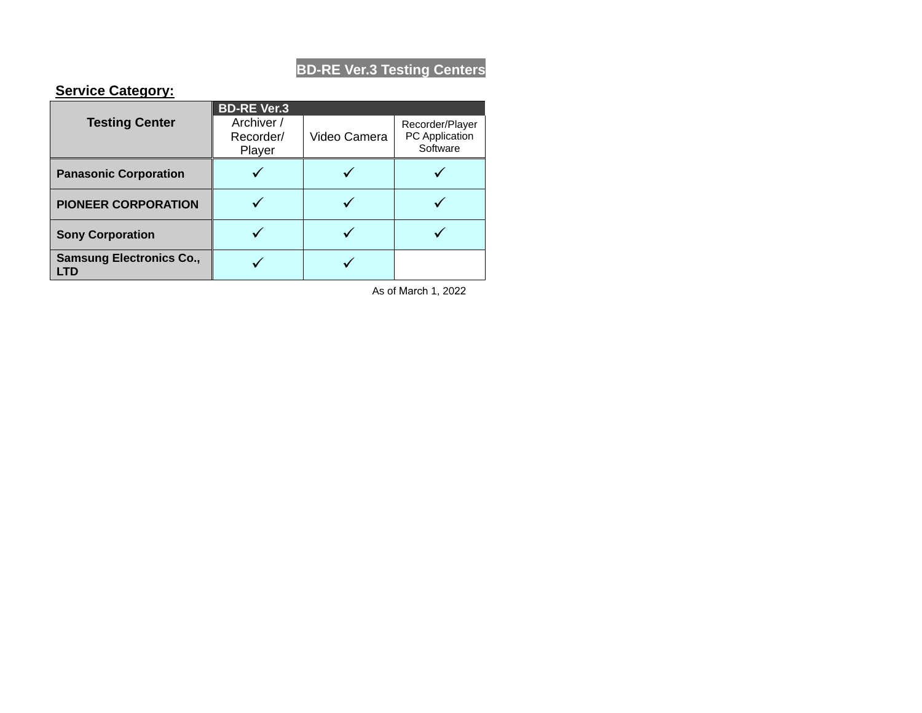# **BD-RE Ver.3 Testing Centers**

#### **Service Category:**

|                                 | <b>BD-RE Ver.3</b>      |              |          |
|---------------------------------|-------------------------|--------------|----------|
| <b>Testing Center</b>           | Archiver /<br>Recorder/ | Video Camera |          |
|                                 | Player                  |              | Software |
| <b>Panasonic Corporation</b>    |                         |              |          |
| <b>PIONEER CORPORATION</b>      |                         |              |          |
| <b>Sony Corporation</b>         |                         |              |          |
| <b>Samsung Electronics Co.,</b> |                         |              |          |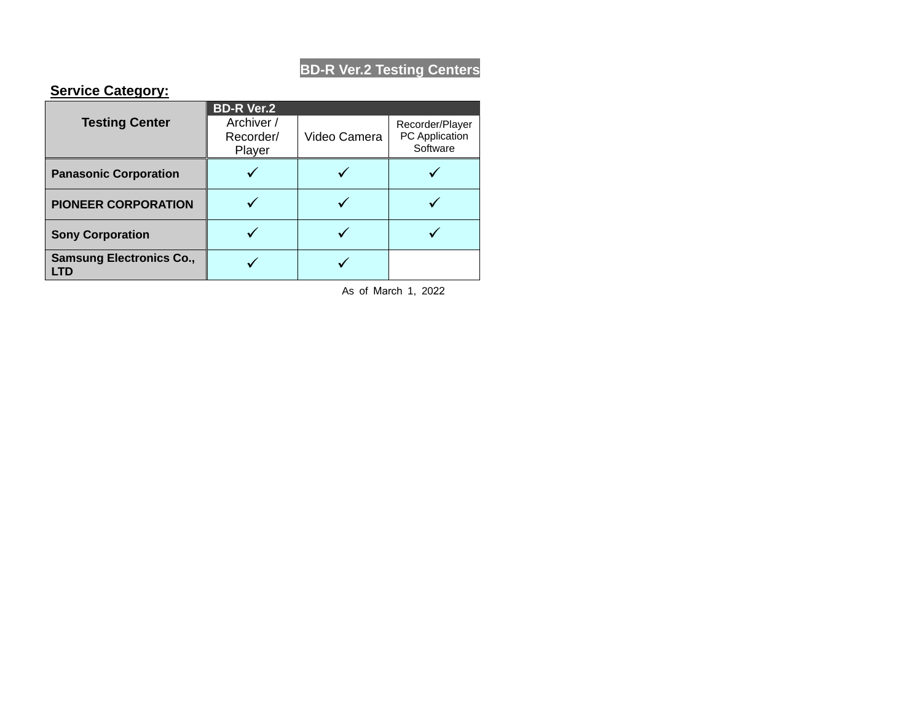# **BD-R Ver.2 Testing Centers**

#### **Service Category:**

|                                 | <b>BD-R Ver.2</b>       |              |                                   |  |
|---------------------------------|-------------------------|--------------|-----------------------------------|--|
| <b>Testing Center</b>           | Archiver /<br>Recorder/ | Video Camera | Recorder/Player<br>PC Application |  |
|                                 | Player                  |              | Software                          |  |
| <b>Panasonic Corporation</b>    |                         |              |                                   |  |
| <b>PIONEER CORPORATION</b>      |                         |              |                                   |  |
| <b>Sony Corporation</b>         |                         |              |                                   |  |
| <b>Samsung Electronics Co.,</b> |                         |              |                                   |  |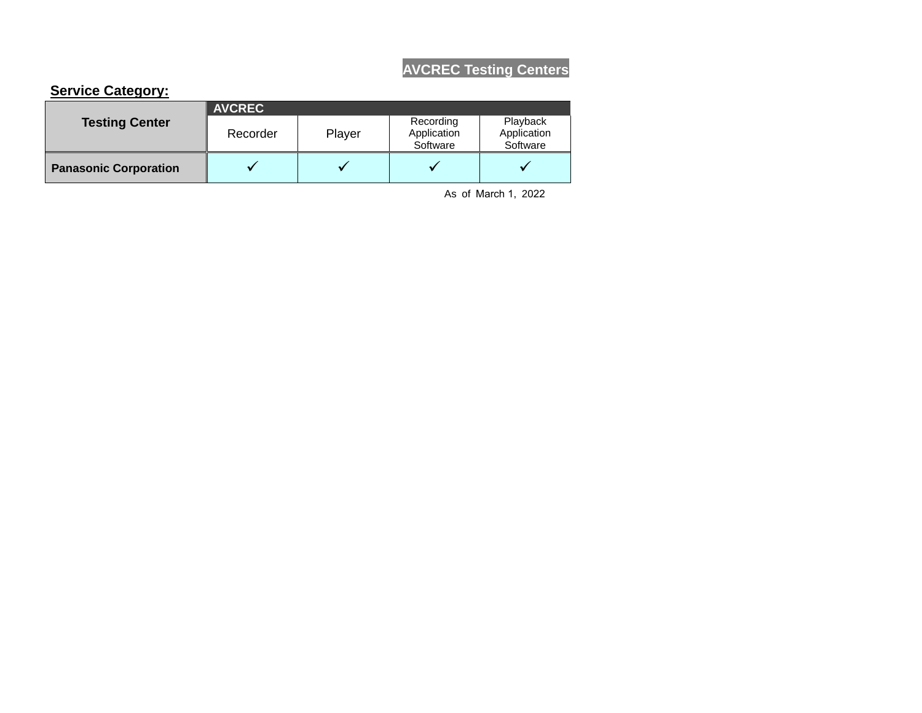# **AVCREC Testing Centers**

#### **Service Category:**

| <b>Testing Center</b>        | <b>AVCREC</b> |        |                                      |                                     |  |  |
|------------------------------|---------------|--------|--------------------------------------|-------------------------------------|--|--|
|                              | Recorder      | Player | Recording<br>Application<br>Software | Playback<br>Application<br>Software |  |  |
| <b>Panasonic Corporation</b> |               |        |                                      | v                                   |  |  |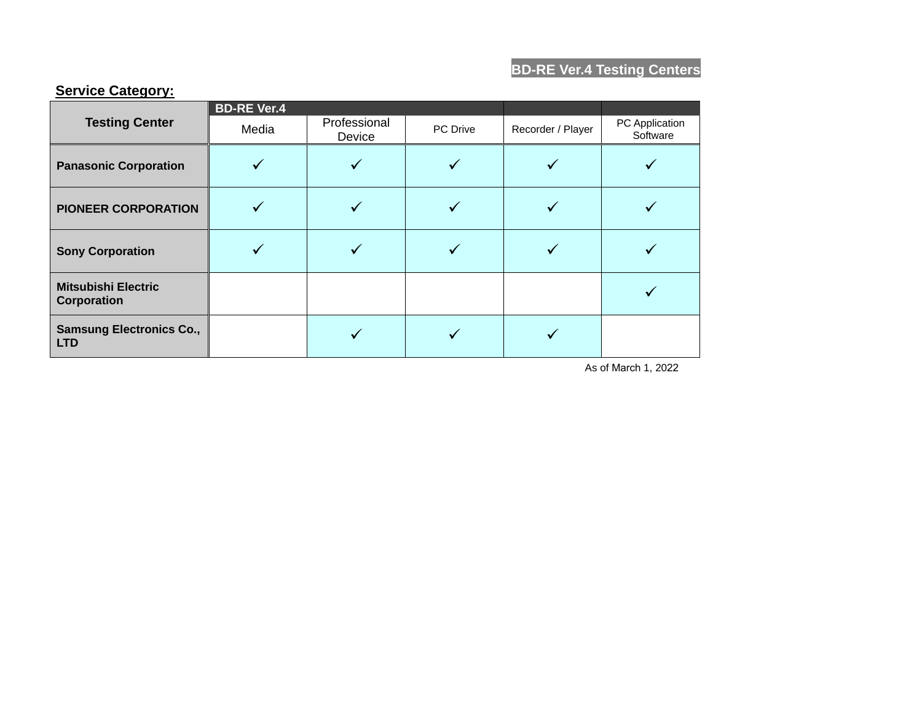# **BD-RE Ver.4 Testing Centers**

|                                               | <b>BD-RE Ver.4</b> |                        |          |                   |                            |
|-----------------------------------------------|--------------------|------------------------|----------|-------------------|----------------------------|
| <b>Testing Center</b>                         | Media              | Professional<br>Device | PC Drive | Recorder / Player | PC Application<br>Software |
| <b>Panasonic Corporation</b>                  |                    |                        |          |                   |                            |
| <b>PIONEER CORPORATION</b>                    |                    |                        |          |                   |                            |
| <b>Sony Corporation</b>                       |                    |                        |          |                   |                            |
| <b>Mitsubishi Electric</b><br>Corporation     |                    |                        |          |                   |                            |
| <b>Samsung Electronics Co.,</b><br><b>LTD</b> |                    |                        |          |                   |                            |

#### **Service Category:**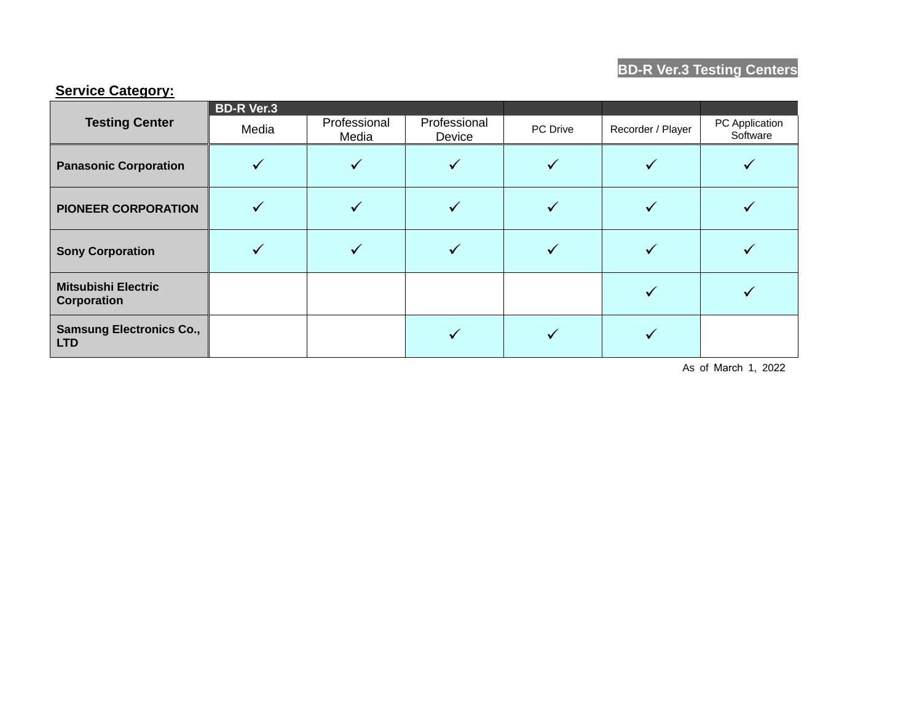# **BD-R Ver.3 Testing Centers**

#### **Service Category:**

|                                                  | <b>BD-R Ver.3</b> |                       |                        |          |                   |                            |
|--------------------------------------------------|-------------------|-----------------------|------------------------|----------|-------------------|----------------------------|
| <b>Testing Center</b>                            | Media             | Professional<br>Media | Professional<br>Device | PC Drive | Recorder / Player | PC Application<br>Software |
| <b>Panasonic Corporation</b>                     |                   |                       |                        |          |                   |                            |
| <b>PIONEER CORPORATION</b>                       |                   |                       |                        |          |                   |                            |
| <b>Sony Corporation</b>                          |                   |                       |                        |          |                   |                            |
| <b>Mitsubishi Electric</b><br><b>Corporation</b> |                   |                       |                        |          |                   |                            |
| <b>Samsung Electronics Co.,</b><br><b>LTD</b>    |                   |                       |                        |          |                   |                            |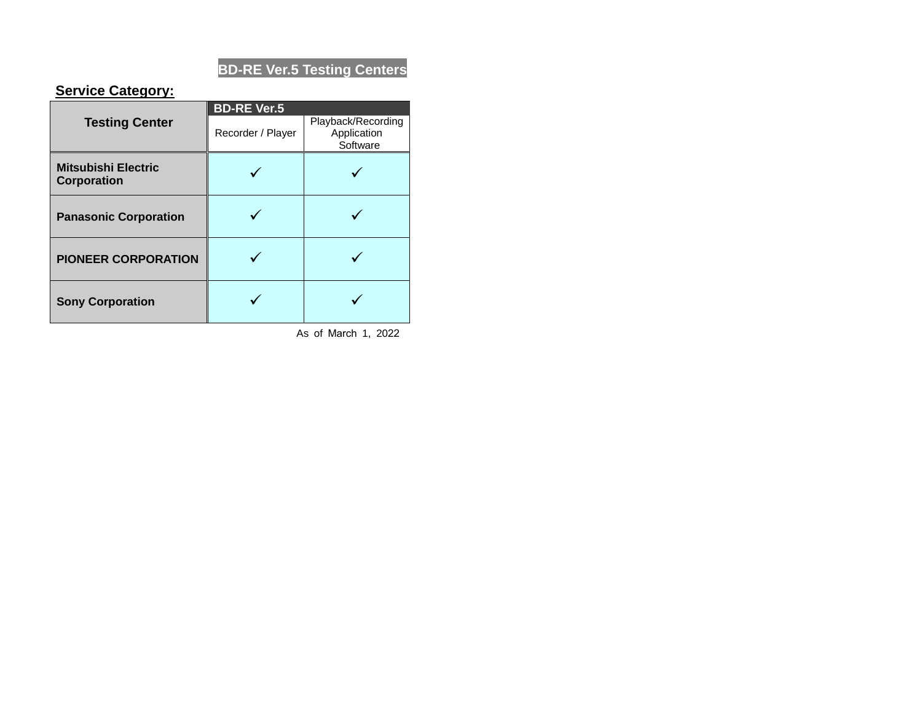# **BD-RE Ver.5 Testing Centers**

### **Service Category:**

|                                                  | <b>BD-RE Ver.5</b> |                                               |  |  |
|--------------------------------------------------|--------------------|-----------------------------------------------|--|--|
| <b>Testing Center</b>                            | Recorder / Player  | Playback/Recording<br>Application<br>Software |  |  |
| <b>Mitsubishi Electric</b><br><b>Corporation</b> |                    |                                               |  |  |
| <b>Panasonic Corporation</b>                     |                    |                                               |  |  |
| <b>PIONEER CORPORATION</b>                       |                    |                                               |  |  |
| <b>Sony Corporation</b>                          |                    |                                               |  |  |